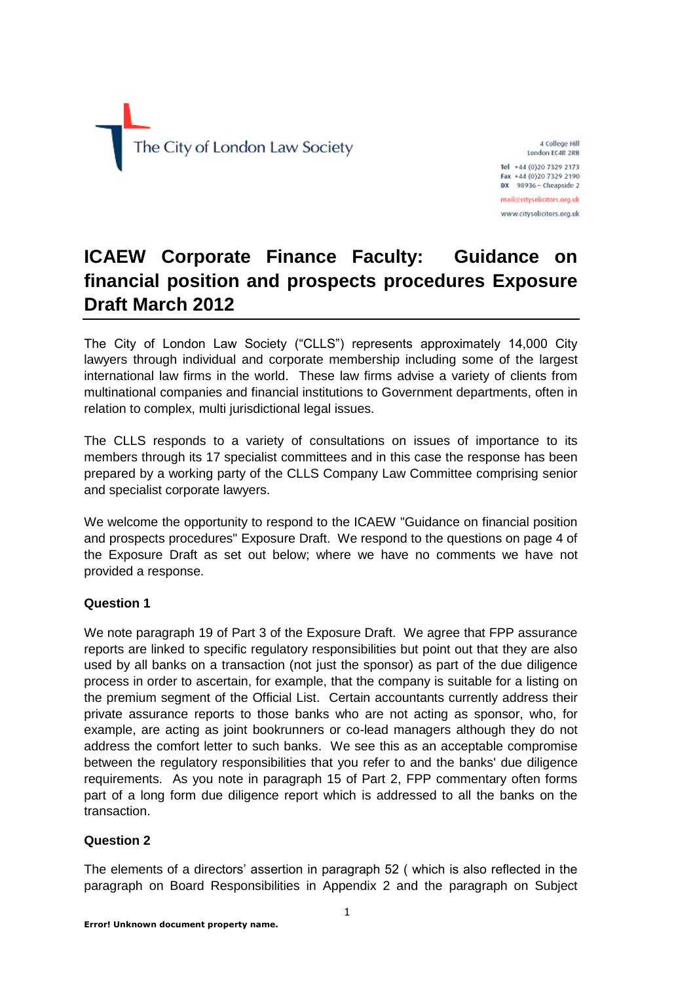

4 College Hill London EC4R 2RB Tel +44 (0)20 7329 2173

Fax +44 (0)20 7329 2190 DX 98936 - Cheapside 2 mail@citysolicitors.org.uk

www.citysolicitors.org.uk

# **ICAEW Corporate Finance Faculty: Guidance on financial position and prospects procedures Exposure Draft March 2012**

The City of London Law Society ("CLLS") represents approximately 14,000 City lawyers through individual and corporate membership including some of the largest international law firms in the world. These law firms advise a variety of clients from multinational companies and financial institutions to Government departments, often in relation to complex, multi jurisdictional legal issues.

The CLLS responds to a variety of consultations on issues of importance to its members through its 17 specialist committees and in this case the response has been prepared by a working party of the CLLS Company Law Committee comprising senior and specialist corporate lawyers.

We welcome the opportunity to respond to the ICAEW "Guidance on financial position and prospects procedures" Exposure Draft. We respond to the questions on page 4 of the Exposure Draft as set out below; where we have no comments we have not provided a response.

# **Question 1**

We note paragraph 19 of Part 3 of the Exposure Draft. We agree that FPP assurance reports are linked to specific regulatory responsibilities but point out that they are also used by all banks on a transaction (not just the sponsor) as part of the due diligence process in order to ascertain, for example, that the company is suitable for a listing on the premium segment of the Official List. Certain accountants currently address their private assurance reports to those banks who are not acting as sponsor, who, for example, are acting as joint bookrunners or co-lead managers although they do not address the comfort letter to such banks. We see this as an acceptable compromise between the regulatory responsibilities that you refer to and the banks' due diligence requirements. As you note in paragraph 15 of Part 2, FPP commentary often forms part of a long form due diligence report which is addressed to all the banks on the transaction.

# **Question 2**

The elements of a directors' assertion in paragraph 52 ( which is also reflected in the paragraph on Board Responsibilities in Appendix 2 and the paragraph on Subject